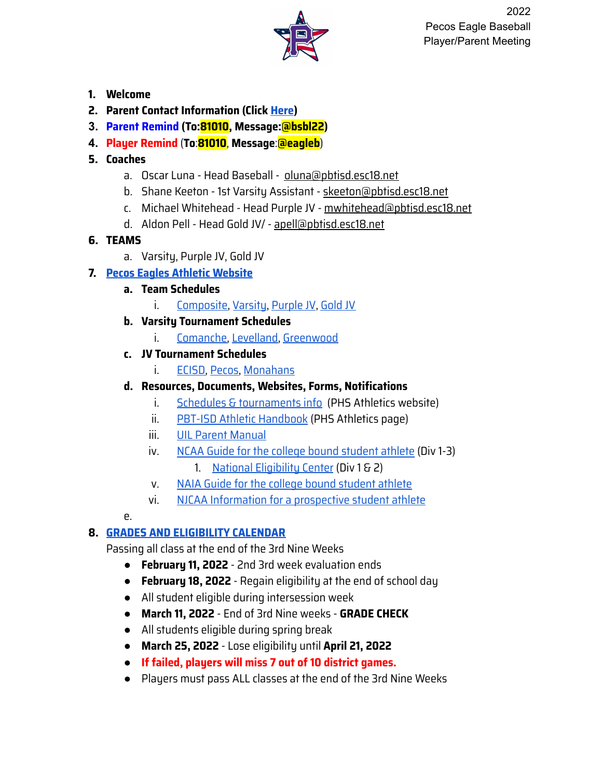

- **1. Welcome**
- **2. Parent Contact Information (Click [Here\)](https://forms.gle/tPdVzLm8Ls3DskDJA)**
- **3. Parent Remind (To:81010, Message:@bsbl22)**
- **4. Player Remind** (**To**:**81010**, **Message**:**@eagleb**)
- **5. Coaches**
	- a. Oscar Luna Head Baseball oluna@pbtisd.esc18.net
	- b. Shane Keeton 1st Varsity Assistant skeeton@pbtisd.esc18.net
	- c. Michael Whitehead Head Purple JV mwhitehead@pbtisd.esc18.net
	- d. Aldon Pell Head Gold JV/ apell@pbtisd.esc18.net

#### **6. TEAMS**

a. Varsity, Purple JV, Gold JV

## **7. Pecos Eagles Athletic [Website](https://www.pecoseagles.com/sport/baseball/boys/)**

#### **a. Team Schedules**

i. [Composite,](https://5starassets.blob.core.windows.net/multi-media/363/hub/2022%20Composite%20Baseball%20Schedule%20(updated%202.16.2022).pdf) [Varsity](https://5starassets.blob.core.windows.net/multi-media/363/hub/2022%20Pecos%20Varsity%20Baseball%20Schedule%20(updated%202.16.2022).pdf), [Purple](https://5starassets.blob.core.windows.net/multi-media/363/hub/2022%20PURPLE%20Baseball%20Schedule%20(updated%202.16.2022).pdf) JV, [Gold](https://5starassets.blob.core.windows.net/multi-media/363/hub/2022%20GOLD%20Baseball%20Schedule%20(updated%202.16.2022).pdf) JV

## **b. Varsity Tournament Schedules**

i. [Comanche,](https://5starassets.blob.core.windows.net/multi-media/363/hub/2022%20Comanche%20Classic%20Schedule%20(final).pdf) [Levelland,](https://5starassets.blob.core.windows.net/multi-media/363/hub/2022%20Levelland%20Linedrive%20Classic.pdf) [Greenwood](https://5starassets.blob.core.windows.net/multi-media/363/hub/2022%20March%20Classic.pdf)

## **c. JV Tournament Schedules**

i. [ECISD,](https://5starassets.blob.core.windows.net/multi-media/363/hub/ECISD%20JV%20Baseball%20Tournament.png) [Pecos,](https://5starassets.blob.core.windows.net/multi-media/363/hub/2022%20Pecos%20JV%20Baseball%20Tournament%20(Mar%203-5).pdf) [Monahans](https://5starassets.blob.core.windows.net/multi-media/363/hub/Monahans%20Jv%20Tournament%20-%20Google%20Docs%20(2).pdf)

# **d. Resources, Documents, Websites, Forms, Notifications**

- i. Schedules & [tournaments](https://www.pecoseagles.com/sport/baseball/boys/) info (PHS Athletics website)
- ii. PBT-ISD Athletic [Handbook](https://4.files.edl.io/1746/08/10/20/224739-99ff8538-4c96-45e2-87de-69049af0fb94.pdf) (PHS Athletics page)
- iii. UIL Parent [Manual](https://www.uiltexas.org/files/athletics/manuals/Parent_Info_Handbook_21-22.pdf)
- iv. NCAA Guide for the college bound [student](http://fs.ncaa.org/Docs/eligibility_center/Student_Resources/CBSA.pdf) athlete (Div 1-3)
	- 1. National [Eligibility](https://web3.ncaa.org/ecwr3/) Center (Div 1 & 2)
- v. NAIA Guide for the college bound [student](https://play.mynaia.org/media/1091/naia_guide_college_bound_student.pdf) athlete
- vi. NJCAA [Information](https://d2o2figo6ddd0g.cloudfront.net/l/4/8m1fd8qh23jhbl/Prospective_Student_Brochure_16-17.pdf) for a prospective student athlete

#### e.

## **8. GRADES AND [ELIGIBILITY](https://5starassets.blob.core.windows.net/multi-media/363/hub/2021-2022%20PBTISD%20Eligibility%20Calendar%20PDF%20(2).pdf) CALENDAR**

Passing all class at the end of the 3rd Nine Weeks

- **February 11, 2022** 2nd 3rd week evaluation ends
- **February 18, 2022** Regain eligibility at the end of school day
- All student eligible during intersession week
- **March 11, 2022** End of 3rd Nine weeks **GRADE CHECK**
- All students eligible during spring break
- **March 25, 2022** Lose eligibility until **April 21, 2022**
- **If failed, players will miss 7 out of 10 district games.**
- Players must pass ALL classes at the end of the 3rd Nine Weeks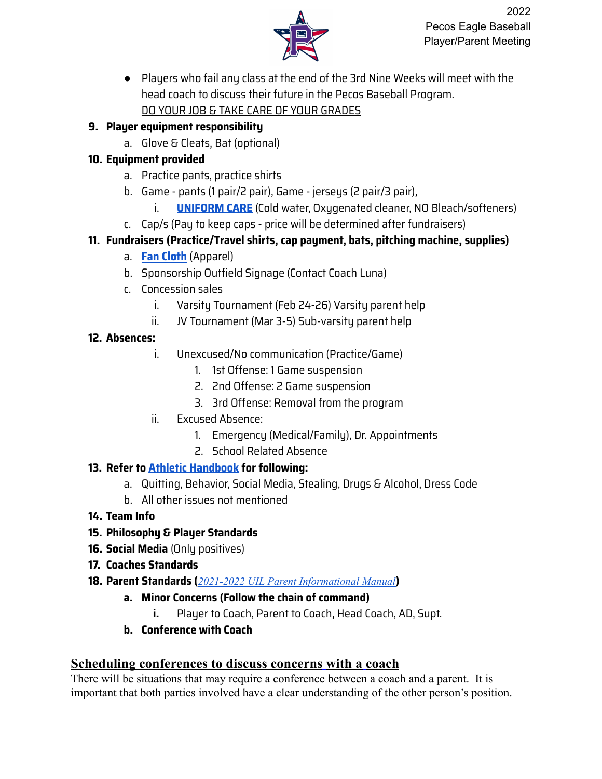

● Players who fail any class at the end of the 3rd Nine Weeks will meet with the head coach to discuss their future in the Pecos Baseball Program. DO YOUR JOB & TAKE CARE OF YOUR GRADES

#### **9. Player equipment responsibility**

a. Glove & Cleats, Bat (optional)

#### **10. Equipment provided**

- a. Practice pants, practice shirts
- b. Game pants (1 pair/2 pair), Game jerseys (2 pair/3 pair),
	- i. **[UNIFORM](https://niketeam.nike.com/niketeamsports/content/guides/TEAM_Football_Wash_Instructions.pdf) CARE** (Cold water, Oxygenated cleaner, NO Bleach/softeners)
- c. Cap/s (Pay to keep caps price will be determined after fundraisers)

# **11. Fundraisers (Practice/Travel shirts, cap payment, bats, pitching machine, supplies)**

- a. **Fan [Cloth](https://bit.ly/34Zu0Y9)** (Apparel)
- b. Sponsorship Outfield Signage (Contact Coach Luna)
- c. Concession sales
	- i. Varsity Tournament (Feb 24-26) Varsity parent help
	- ii. JV Tournament (Mar 3-5) Sub-varsity parent help

## **12. Absences:**

- i. Unexcused/No communication (Practice/Game)
	- 1. 1st Offense: 1 Game suspension
	- 2. 2nd Offense: 2 Game suspension
	- 3. 3rd Offense: Removal from the program
- ii. Excused Absence:
	- 1. Emergency (Medical/Family), Dr. Appointments
	- 2. School Related Absence

## **13. Refer to Athletic [Handbook](https://4.files.edl.io/1746/08/10/20/224739-99ff8538-4c96-45e2-87de-69049af0fb94.pdf) for following:**

- a. Quitting, Behavior, Social Media, Stealing, Drugs & Alcohol, Dress Code
- b. All other issues not mentioned
- **14. Team Info**
- **15. Philosophy & Player Standards**
- **16. Social Media** (Only positives)
- **17. Coaches Standards**
- **18. Parent Standards (***2021-2022 UIL Parent [Informational](https://www.uiltexas.org/files/athletics/manuals/Parent_Info_Handbook_20-21.pdf) Manual***)**
	- **a. Minor Concerns (Follow the chain of command)**
		- **i.** Player to Coach, Parent to Coach, Head Coach, AD, Supt.
	- **b. Conference with Coach**

## **Scheduling conferences to discuss concerns with a coach**

There will be situations that may require a conference between a coach and a parent. It is important that both parties involved have a clear understanding of the other person's position.